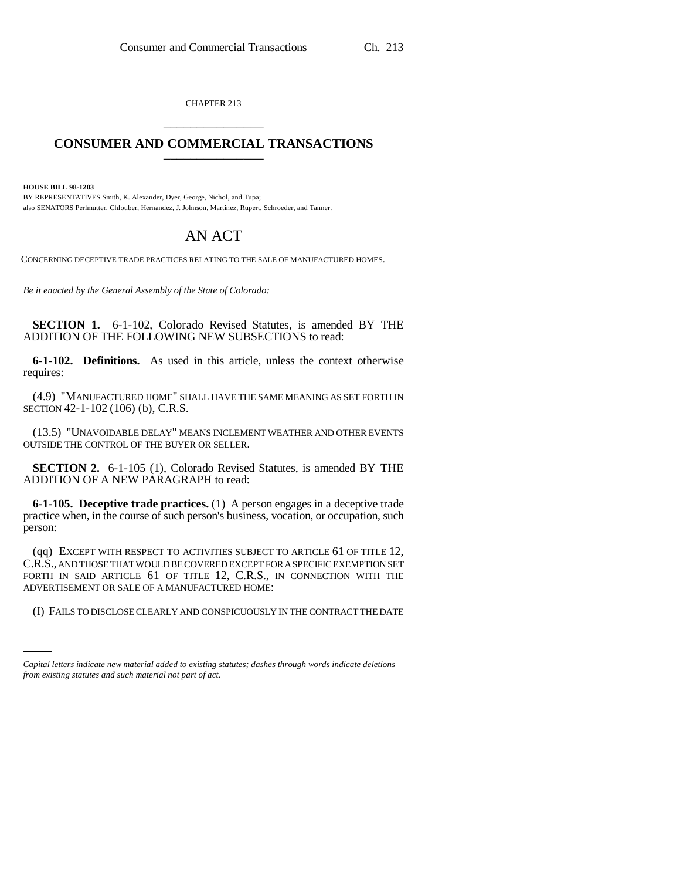CHAPTER 213 \_\_\_\_\_\_\_\_\_\_\_\_\_\_\_

## **CONSUMER AND COMMERCIAL TRANSACTIONS** \_\_\_\_\_\_\_\_\_\_\_\_\_\_\_

**HOUSE BILL 98-1203**

BY REPRESENTATIVES Smith, K. Alexander, Dyer, George, Nichol, and Tupa; also SENATORS Perlmutter, Chlouber, Hernandez, J. Johnson, Martinez, Rupert, Schroeder, and Tanner.

## AN ACT

CONCERNING DECEPTIVE TRADE PRACTICES RELATING TO THE SALE OF MANUFACTURED HOMES.

*Be it enacted by the General Assembly of the State of Colorado:*

**SECTION 1.** 6-1-102, Colorado Revised Statutes, is amended BY THE ADDITION OF THE FOLLOWING NEW SUBSECTIONS to read:

**6-1-102. Definitions.** As used in this article, unless the context otherwise requires:

(4.9) "MANUFACTURED HOME" SHALL HAVE THE SAME MEANING AS SET FORTH IN SECTION 42-1-102 (106) (b), C.R.S.

(13.5) "UNAVOIDABLE DELAY" MEANS INCLEMENT WEATHER AND OTHER EVENTS OUTSIDE THE CONTROL OF THE BUYER OR SELLER.

**SECTION 2.** 6-1-105 (1), Colorado Revised Statutes, is amended BY THE ADDITION OF A NEW PARAGRAPH to read:

**6-1-105. Deceptive trade practices.** (1) A person engages in a deceptive trade practice when, in the course of such person's business, vocation, or occupation, such person:

ADVERTISEMENT OR SALE OF A MANUFACTURED HOME: (qq) EXCEPT WITH RESPECT TO ACTIVITIES SUBJECT TO ARTICLE 61 OF TITLE 12, C.R.S., AND THOSE THAT WOULD BE COVERED EXCEPT FOR A SPECIFIC EXEMPTION SET FORTH IN SAID ARTICLE 61 OF TITLE 12, C.R.S., IN CONNECTION WITH THE

(I) FAILS TO DISCLOSE CLEARLY AND CONSPICUOUSLY IN THE CONTRACT THE DATE

*Capital letters indicate new material added to existing statutes; dashes through words indicate deletions from existing statutes and such material not part of act.*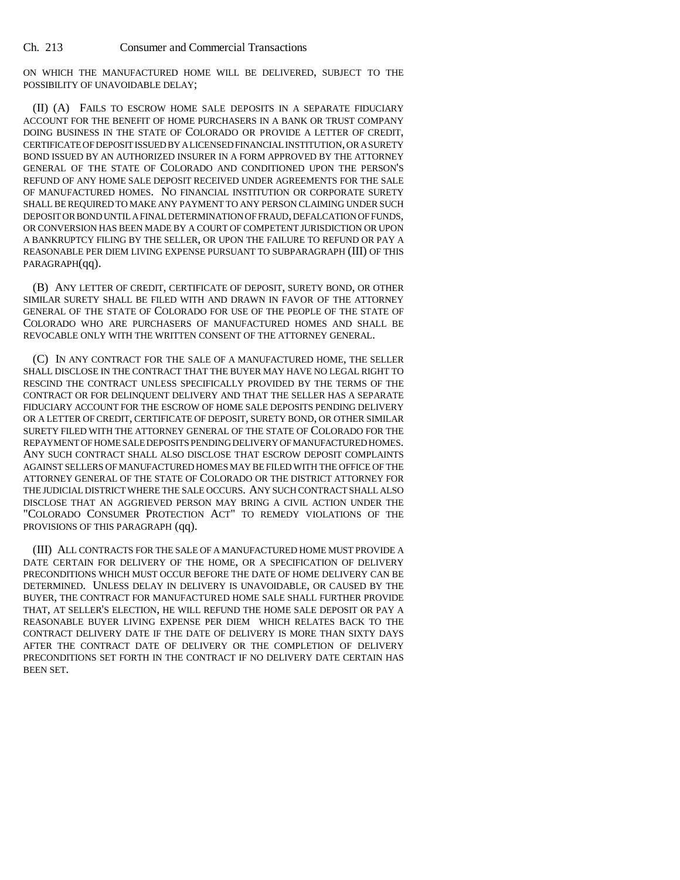Ch. 213 Consumer and Commercial Transactions

ON WHICH THE MANUFACTURED HOME WILL BE DELIVERED, SUBJECT TO THE POSSIBILITY OF UNAVOIDABLE DELAY;

(II) (A) FAILS TO ESCROW HOME SALE DEPOSITS IN A SEPARATE FIDUCIARY ACCOUNT FOR THE BENEFIT OF HOME PURCHASERS IN A BANK OR TRUST COMPANY DOING BUSINESS IN THE STATE OF COLORADO OR PROVIDE A LETTER OF CREDIT, CERTIFICATE OF DEPOSIT ISSUED BY A LICENSED FINANCIAL INSTITUTION, OR A SURETY BOND ISSUED BY AN AUTHORIZED INSURER IN A FORM APPROVED BY THE ATTORNEY GENERAL OF THE STATE OF COLORADO AND CONDITIONED UPON THE PERSON'S REFUND OF ANY HOME SALE DEPOSIT RECEIVED UNDER AGREEMENTS FOR THE SALE OF MANUFACTURED HOMES. NO FINANCIAL INSTITUTION OR CORPORATE SURETY SHALL BE REQUIRED TO MAKE ANY PAYMENT TO ANY PERSON CLAIMING UNDER SUCH DEPOSIT OR BOND UNTIL A FINAL DETERMINATION OF FRAUD, DEFALCATION OF FUNDS, OR CONVERSION HAS BEEN MADE BY A COURT OF COMPETENT JURISDICTION OR UPON A BANKRUPTCY FILING BY THE SELLER, OR UPON THE FAILURE TO REFUND OR PAY A REASONABLE PER DIEM LIVING EXPENSE PURSUANT TO SUBPARAGRAPH (III) OF THIS PARAGRAPH(qq).

(B) ANY LETTER OF CREDIT, CERTIFICATE OF DEPOSIT, SURETY BOND, OR OTHER SIMILAR SURETY SHALL BE FILED WITH AND DRAWN IN FAVOR OF THE ATTORNEY GENERAL OF THE STATE OF COLORADO FOR USE OF THE PEOPLE OF THE STATE OF COLORADO WHO ARE PURCHASERS OF MANUFACTURED HOMES AND SHALL BE REVOCABLE ONLY WITH THE WRITTEN CONSENT OF THE ATTORNEY GENERAL.

(C) IN ANY CONTRACT FOR THE SALE OF A MANUFACTURED HOME, THE SELLER SHALL DISCLOSE IN THE CONTRACT THAT THE BUYER MAY HAVE NO LEGAL RIGHT TO RESCIND THE CONTRACT UNLESS SPECIFICALLY PROVIDED BY THE TERMS OF THE CONTRACT OR FOR DELINQUENT DELIVERY AND THAT THE SELLER HAS A SEPARATE FIDUCIARY ACCOUNT FOR THE ESCROW OF HOME SALE DEPOSITS PENDING DELIVERY OR A LETTER OF CREDIT, CERTIFICATE OF DEPOSIT, SURETY BOND, OR OTHER SIMILAR SURETY FILED WITH THE ATTORNEY GENERAL OF THE STATE OF COLORADO FOR THE REPAYMENT OF HOME SALE DEPOSITS PENDING DELIVERY OF MANUFACTURED HOMES. ANY SUCH CONTRACT SHALL ALSO DISCLOSE THAT ESCROW DEPOSIT COMPLAINTS AGAINST SELLERS OF MANUFACTURED HOMES MAY BE FILED WITH THE OFFICE OF THE ATTORNEY GENERAL OF THE STATE OF COLORADO OR THE DISTRICT ATTORNEY FOR THE JUDICIAL DISTRICT WHERE THE SALE OCCURS. ANY SUCH CONTRACT SHALL ALSO DISCLOSE THAT AN AGGRIEVED PERSON MAY BRING A CIVIL ACTION UNDER THE "COLORADO CONSUMER PROTECTION ACT" TO REMEDY VIOLATIONS OF THE PROVISIONS OF THIS PARAGRAPH (qq).

(III) ALL CONTRACTS FOR THE SALE OF A MANUFACTURED HOME MUST PROVIDE A DATE CERTAIN FOR DELIVERY OF THE HOME, OR A SPECIFICATION OF DELIVERY PRECONDITIONS WHICH MUST OCCUR BEFORE THE DATE OF HOME DELIVERY CAN BE DETERMINED. UNLESS DELAY IN DELIVERY IS UNAVOIDABLE, OR CAUSED BY THE BUYER, THE CONTRACT FOR MANUFACTURED HOME SALE SHALL FURTHER PROVIDE THAT, AT SELLER'S ELECTION, HE WILL REFUND THE HOME SALE DEPOSIT OR PAY A REASONABLE BUYER LIVING EXPENSE PER DIEM WHICH RELATES BACK TO THE CONTRACT DELIVERY DATE IF THE DATE OF DELIVERY IS MORE THAN SIXTY DAYS AFTER THE CONTRACT DATE OF DELIVERY OR THE COMPLETION OF DELIVERY PRECONDITIONS SET FORTH IN THE CONTRACT IF NO DELIVERY DATE CERTAIN HAS BEEN SET.